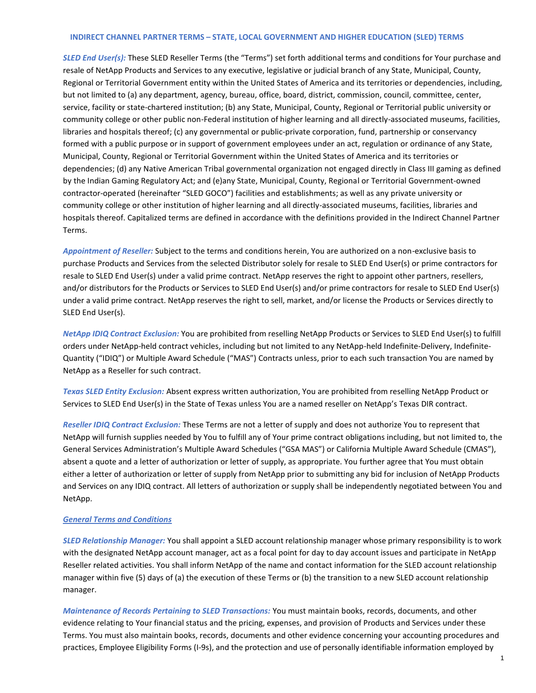## **INDIRECT CHANNEL PARTNER TERMS – STATE, LOCAL GOVERNMENT AND HIGHER EDUCATION (SLED) TERMS**

*SLED End User(s):* These SLED Reseller Terms (the "Terms") set forth additional terms and conditions for Your purchase and resale of NetApp Products and Services to any executive, legislative or judicial branch of any State, Municipal, County, Regional or Territorial Government entity within the United States of America and its territories or dependencies, including, but not limited to (a) any department, agency, bureau, office, board, district, commission, council, committee, center, service, facility or state-chartered institution; (b) any State, Municipal, County, Regional or Territorial public university or community college or other public non-Federal institution of higher learning and all directly-associated museums, facilities, libraries and hospitals thereof; (c) any governmental or public-private corporation, fund, partnership or conservancy formed with a public purpose or in support of government employees under an act, regulation or ordinance of any State, Municipal, County, Regional or Territorial Government within the United States of America and its territories or dependencies; (d) any Native American Tribal governmental organization not engaged directly in Class III gaming as defined by the Indian Gaming Regulatory Act; and (e)any State, Municipal, County, Regional or Territorial Government-owned contractor-operated (hereinafter "SLED GOCO") facilities and establishments; as well as any private university or community college or other institution of higher learning and all directly-associated museums, facilities, libraries and hospitals thereof. Capitalized terms are defined in accordance with the definitions provided in the Indirect Channel Partner Terms.

*Appointment of Reseller:* Subject to the terms and conditions herein, You are authorized on a non-exclusive basis to purchase Products and Services from the selected Distributor solely for resale to SLED End User(s) or prime contractors for resale to SLED End User(s) under a valid prime contract. NetApp reserves the right to appoint other partners, resellers, and/or distributors for the Products or Services to SLED End User(s) and/or prime contractors for resale to SLED End User(s) under a valid prime contract. NetApp reserves the right to sell, market, and/or license the Products or Services directly to SLED End User(s).

*NetApp IDIQ Contract Exclusion:* You are prohibited from reselling NetApp Products or Services to SLED End User(s) to fulfill orders under NetApp-held contract vehicles, including but not limited to any NetApp-held Indefinite-Delivery, Indefinite-Quantity ("IDIQ") or Multiple Award Schedule ("MAS") Contracts unless, prior to each such transaction You are named by NetApp as a Reseller for such contract.

*Texas SLED Entity Exclusion:* Absent express written authorization, You are prohibited from reselling NetApp Product or Services to SLED End User(s) in the State of Texas unless You are a named reseller on NetApp's Texas DIR contract.

*Reseller IDIQ Contract Exclusion:* These Terms are not a letter of supply and does not authorize You to represent that NetApp will furnish supplies needed by You to fulfill any of Your prime contract obligations including, but not limited to, the General Services Administration's Multiple Award Schedules ("GSA MAS") or California Multiple Award Schedule (CMAS"), absent a quote and a letter of authorization or letter of supply, as appropriate. You further agree that You must obtain either a letter of authorization or letter of supply from NetApp prior to submitting any bid for inclusion of NetApp Products and Services on any IDIQ contract. All letters of authorization or supply shall be independently negotiated between You and NetApp.

## *General Terms and Conditions*

*SLED Relationship Manager:* You shall appoint a SLED account relationship manager whose primary responsibility is to work with the designated NetApp account manager, act as a focal point for day to day account issues and participate in NetApp Reseller related activities. You shall inform NetApp of the name and contact information for the SLED account relationship manager within five (5) days of (a) the execution of these Terms or (b) the transition to a new SLED account relationship manager.

*Maintenance of Records Pertaining to SLED Transactions:* You must maintain books, records, documents, and other evidence relating to Your financial status and the pricing, expenses, and provision of Products and Services under these Terms. You must also maintain books, records, documents and other evidence concerning your accounting procedures and practices, Employee Eligibility Forms (I-9s), and the protection and use of personally identifiable information employed by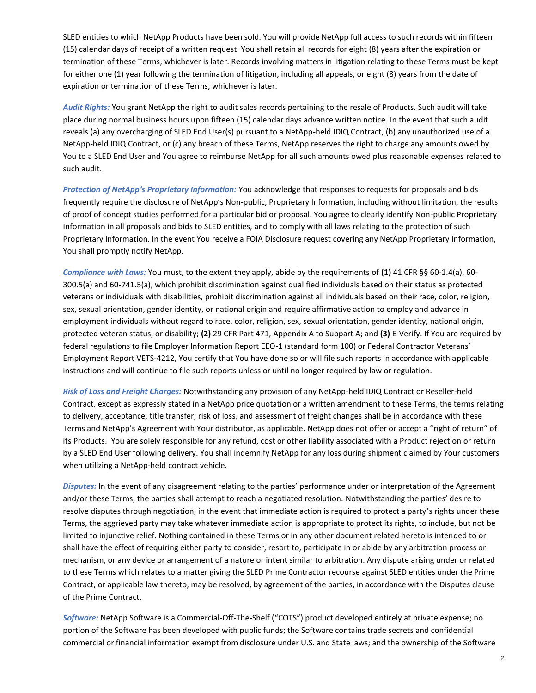SLED entities to which NetApp Products have been sold. You will provide NetApp full access to such records within fifteen (15) calendar days of receipt of a written request. You shall retain all records for eight (8) years after the expiration or termination of these Terms, whichever is later. Records involving matters in litigation relating to these Terms must be kept for either one (1) year following the termination of litigation, including all appeals, or eight (8) years from the date of expiration or termination of these Terms, whichever is later.

*Audit Rights:* You grant NetApp the right to audit sales records pertaining to the resale of Products. Such audit will take place during normal business hours upon fifteen (15) calendar days advance written notice. In the event that such audit reveals (a) any overcharging of SLED End User(s) pursuant to a NetApp-held IDIQ Contract, (b) any unauthorized use of a NetApp-held IDIQ Contract, or (c) any breach of these Terms, NetApp reserves the right to charge any amounts owed by You to a SLED End User and You agree to reimburse NetApp for all such amounts owed plus reasonable expenses related to such audit.

*Protection of NetApp's Proprietary Information:* You acknowledge that responses to requests for proposals and bids frequently require the disclosure of NetApp's Non-public, Proprietary Information, including without limitation, the results of proof of concept studies performed for a particular bid or proposal. You agree to clearly identify Non-public Proprietary Information in all proposals and bids to SLED entities, and to comply with all laws relating to the protection of such Proprietary Information. In the event You receive a FOIA Disclosure request covering any NetApp Proprietary Information, You shall promptly notify NetApp.

*Compliance with Laws:* You must, to the extent they apply, abide by the requirements of **(1)** 41 CFR §§ 60-1.4(a), 60- 300.5(a) and 60-741.5(a), which prohibit discrimination against qualified individuals based on their status as protected veterans or individuals with disabilities, prohibit discrimination against all individuals based on their race, color, religion, sex, sexual orientation, gender identity, or national origin and require affirmative action to employ and advance in employment individuals without regard to race, color, religion, sex, sexual orientation, gender identity, national origin, protected veteran status, or disability; **(2)** 29 CFR Part 471, Appendix A to Subpart A; and **(3)** E-Verify. If You are required by federal regulations to file Employer Information Report EEO-1 (standard form 100) or Federal Contractor Veterans' Employment Report VETS-4212, You certify that You have done so or will file such reports in accordance with applicable instructions and will continue to file such reports unless or until no longer required by law or regulation.

*Risk of Loss and Freight Charges:* Notwithstanding any provision of any NetApp-held IDIQ Contract or Reseller-held Contract, except as expressly stated in a NetApp price quotation or a written amendment to these Terms, the terms relating to delivery, acceptance, title transfer, risk of loss, and assessment of freight changes shall be in accordance with these Terms and NetApp's Agreement with Your distributor, as applicable. NetApp does not offer or accept a "right of return" of its Products. You are solely responsible for any refund, cost or other liability associated with a Product rejection or return by a SLED End User following delivery. You shall indemnify NetApp for any loss during shipment claimed by Your customers when utilizing a NetApp-held contract vehicle.

*Disputes:* In the event of any disagreement relating to the parties' performance under or interpretation of the Agreement and/or these Terms, the parties shall attempt to reach a negotiated resolution. Notwithstanding the parties' desire to resolve disputes through negotiation, in the event that immediate action is required to protect a party's rights under these Terms, the aggrieved party may take whatever immediate action is appropriate to protect its rights, to include, but not be limited to injunctive relief. Nothing contained in these Terms or in any other document related hereto is intended to or shall have the effect of requiring either party to consider, resort to, participate in or abide by any arbitration process or mechanism, or any device or arrangement of a nature or intent similar to arbitration. Any dispute arising under or related to these Terms which relates to a matter giving the SLED Prime Contractor recourse against SLED entities under the Prime Contract, or applicable law thereto, may be resolved, by agreement of the parties, in accordance with the Disputes clause of the Prime Contract.

*Software:* NetApp Software is a Commercial-Off-The-Shelf ("COTS") product developed entirely at private expense; no portion of the Software has been developed with public funds; the Software contains trade secrets and confidential commercial or financial information exempt from disclosure under U.S. and State laws; and the ownership of the Software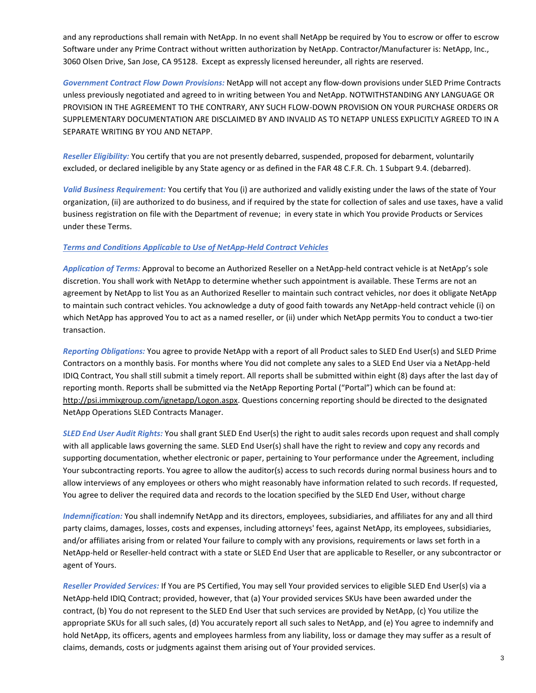and any reproductions shall remain with NetApp. In no event shall NetApp be required by You to escrow or offer to escrow Software under any Prime Contract without written authorization by NetApp. Contractor/Manufacturer is: NetApp, Inc., 3060 Olsen Drive, San Jose, CA 95128. Except as expressly licensed hereunder, all rights are reserved.

*Government Contract Flow Down Provisions:* NetApp will not accept any flow-down provisions under SLED Prime Contracts unless previously negotiated and agreed to in writing between You and NetApp. NOTWITHSTANDING ANY LANGUAGE OR PROVISION IN THE AGREEMENT TO THE CONTRARY, ANY SUCH FLOW-DOWN PROVISION ON YOUR PURCHASE ORDERS OR SUPPLEMENTARY DOCUMENTATION ARE DISCLAIMED BY AND INVALID AS TO NETAPP UNLESS EXPLICITLY AGREED TO IN A SEPARATE WRITING BY YOU AND NETAPP.

*Reseller Eligibility:* You certify that you are not presently debarred, suspended, proposed for debarment, voluntarily excluded, or declared ineligible by any State agency or as defined in the FAR 48 C.F.R. Ch. 1 Subpart 9.4. (debarred).

*Valid Business Requirement:* You certify that You (i) are authorized and validly existing under the laws of the state of Your organization, (ii) are authorized to do business, and if required by the state for collection of sales and use taxes, have a valid business registration on file with the Department of revenue; in every state in which You provide Products or Services under these Terms.

## *Terms and Conditions Applicable to Use of NetApp-Held Contract Vehicles*

*Application of Terms:* Approval to become an Authorized Reseller on a NetApp-held contract vehicle is at NetApp's sole discretion. You shall work with NetApp to determine whether such appointment is available. These Terms are not an agreement by NetApp to list You as an Authorized Reseller to maintain such contract vehicles, nor does it obligate NetApp to maintain such contract vehicles. You acknowledge a duty of good faith towards any NetApp-held contract vehicle (i) on which NetApp has approved You to act as a named reseller, or (ii) under which NetApp permits You to conduct a two-tier transaction.

*Reporting Obligations:* You agree to provide NetApp with a report of all Product sales to SLED End User(s) and SLED Prime Contractors on a monthly basis. For months where You did not complete any sales to a SLED End User via a NetApp-held IDIQ Contract, You shall still submit a timely report. All reports shall be submitted within eight (8) days after the last day of reporting month. Reports shall be submitted via the NetApp Reporting Portal ("Portal") which can be found at: [http://psi.immixgroup.com/ignetapp/Logon.aspx.](http://psi.immixgroup.com/ignetapp/Logon.aspx) Questions concerning reporting should be directed to the designated NetApp Operations SLED Contracts Manager.

*SLED End User Audit Rights:* You shall grant SLED End User(s) the right to audit sales records upon request and shall comply with all applicable laws governing the same. SLED End User(s) shall have the right to review and copy any records and supporting documentation, whether electronic or paper, pertaining to Your performance under the Agreement, including Your subcontracting reports. You agree to allow the auditor(s) access to such records during normal business hours and to allow interviews of any employees or others who might reasonably have information related to such records. If requested, You agree to deliver the required data and records to the location specified by the SLED End User, without charge

*Indemnification:* You shall indemnify NetApp and its directors, employees, subsidiaries, and affiliates for any and all third party claims, damages, losses, costs and expenses, including attorneys' fees, against NetApp, its employees, subsidiaries, and/or affiliates arising from or related Your failure to comply with any provisions, requirements or laws set forth in a NetApp-held or Reseller-held contract with a state or SLED End User that are applicable to Reseller, or any subcontractor or agent of Yours.

*Reseller Provided Services:* If You are PS Certified, You may sell Your provided services to eligible SLED End User(s) via a NetApp-held IDIQ Contract; provided, however, that (a) Your provided services SKUs have been awarded under the contract, (b) You do not represent to the SLED End User that such services are provided by NetApp, (c) You utilize the appropriate SKUs for all such sales, (d) You accurately report all such sales to NetApp, and (e) You agree to indemnify and hold NetApp, its officers, agents and employees harmless from any liability, loss or damage they may suffer as a result of claims, demands, costs or judgments against them arising out of Your provided services.